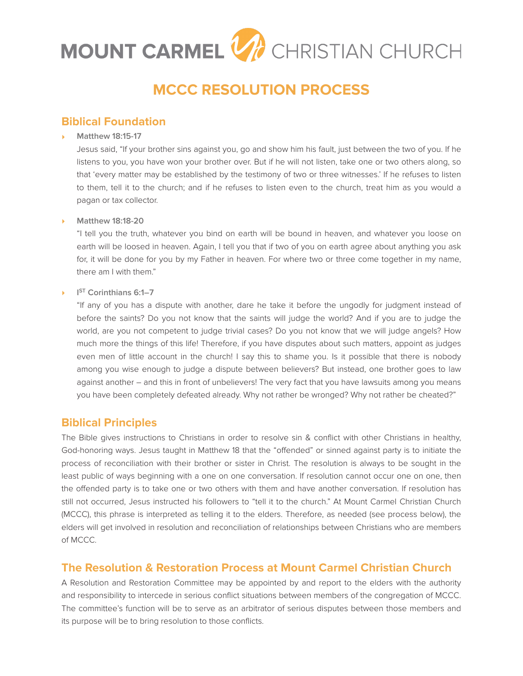# MOUNT CARMEL V CHRISTIAN CHURCH

# **MCCC RESOLUTION PROCESS**

## **Biblical Foundation**

‣ **Matthew 18:15-17**

Jesus said, "If your brother sins against you, go and show him his fault, just between the two of you. If he listens to you, you have won your brother over. But if he will not listen, take one or two others along, so that 'every matter may be established by the testimony of two or three witnesses.' If he refuses to listen to them, tell it to the church; and if he refuses to listen even to the church, treat him as you would a pagan or tax collector.

‣ **Matthew 18:18-20**

"I tell you the truth, whatever you bind on earth will be bound in heaven, and whatever you loose on earth will be loosed in heaven. Again, I tell you that if two of you on earth agree about anything you ask for, it will be done for you by my Father in heaven. For where two or three come together in my name, there am I with them"

#### ‣ **I ST Corinthians 6:1–7**

"If any of you has a dispute with another, dare he take it before the ungodly for judgment instead of before the saints? Do you not know that the saints will judge the world? And if you are to judge the world, are you not competent to judge trivial cases? Do you not know that we will judge angels? How much more the things of this life! Therefore, if you have disputes about such matters, appoint as judges even men of little account in the church! I say this to shame you. Is it possible that there is nobody among you wise enough to judge a dispute between believers? But instead, one brother goes to law against another – and this in front of unbelievers! The very fact that you have lawsuits among you means you have been completely defeated already. Why not rather be wronged? Why not rather be cheated?"

### **Biblical Principles**

The Bible gives instructions to Christians in order to resolve sin & conflict with other Christians in healthy, God-honoring ways. Jesus taught in Matthew 18 that the "offended" or sinned against party is to initiate the process of reconciliation with their brother or sister in Christ. The resolution is always to be sought in the least public of ways beginning with a one on one conversation. If resolution cannot occur one on one, then the offended party is to take one or two others with them and have another conversation. If resolution has still not occurred, Jesus instructed his followers to "tell it to the church." At Mount Carmel Christian Church (MCCC), this phrase is interpreted as telling it to the elders. Therefore, as needed (see process below), the elders will get involved in resolution and reconciliation of relationships between Christians who are members of MCCC.

# **The Resolution & Restoration Process at Mount Carmel Christian Church**

A Resolution and Restoration Committee may be appointed by and report to the elders with the authority and responsibility to intercede in serious conflict situations between members of the congregation of MCCC. The committee's function will be to serve as an arbitrator of serious disputes between those members and its purpose will be to bring resolution to those conflicts.